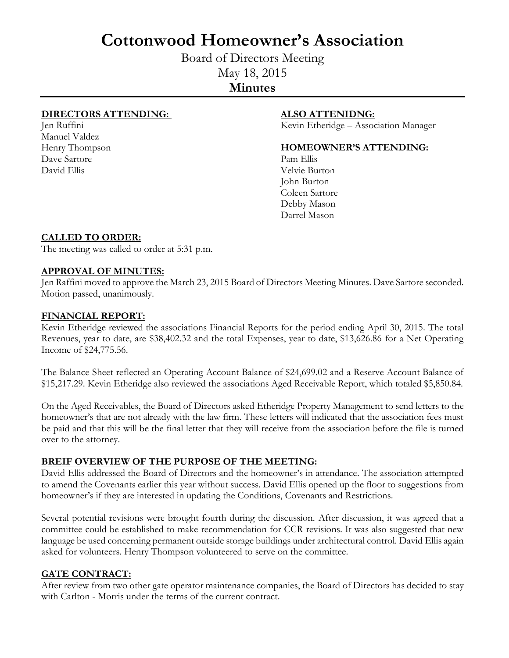# **Cottonwood Homeowner's Association**

Board of Directors Meeting May 18, 2015 **Minutes**

# **DIRECTORS ATTENDING: ALSO ATTENIDNG:**

Manuel Valdez Dave Sartore Pam Ellis David Ellis Velvie Burton

Jen Ruffini Kevin Etheridge – Association Manager

### Henry Thompson **HOMEOWNER'S ATTENDING:**

John Burton Coleen Sartore Debby Mason Darrel Mason

# **CALLED TO ORDER:**

The meeting was called to order at 5:31 p.m.

### **APPROVAL OF MINUTES:**

Jen Raffini moved to approve the March 23, 2015 Board of Directors Meeting Minutes. Dave Sartore seconded. Motion passed, unanimously.

### **FINANCIAL REPORT:**

Kevin Etheridge reviewed the associations Financial Reports for the period ending April 30, 2015. The total Revenues, year to date, are \$38,402.32 and the total Expenses, year to date, \$13,626.86 for a Net Operating Income of \$24,775.56.

The Balance Sheet reflected an Operating Account Balance of \$24,699.02 and a Reserve Account Balance of \$15,217.29. Kevin Etheridge also reviewed the associations Aged Receivable Report, which totaled \$5,850.84.

On the Aged Receivables, the Board of Directors asked Etheridge Property Management to send letters to the homeowner's that are not already with the law firm. These letters will indicated that the association fees must be paid and that this will be the final letter that they will receive from the association before the file is turned over to the attorney.

# **BREIF OVERVIEW OF THE PURPOSE OF THE MEETING:**

David Ellis addressed the Board of Directors and the homeowner's in attendance. The association attempted to amend the Covenants earlier this year without success. David Ellis opened up the floor to suggestions from homeowner's if they are interested in updating the Conditions, Covenants and Restrictions.

Several potential revisions were brought fourth during the discussion. After discussion, it was agreed that a committee could be established to make recommendation for CCR revisions. It was also suggested that new language be used concerning permanent outside storage buildings under architectural control. David Ellis again asked for volunteers. Henry Thompson volunteered to serve on the committee.

#### **GATE CONTRACT:**

After review from two other gate operator maintenance companies, the Board of Directors has decided to stay with Carlton - Morris under the terms of the current contract.